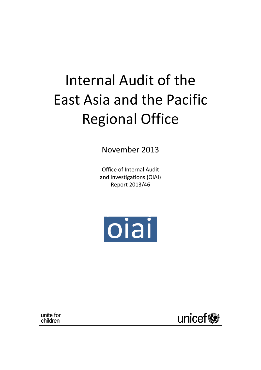# Internal Audit of the East Asia and the Pacific Regional Office

November 2013

Office of Internal Audit and Investigations (OIAI) Report 2013/46



unite for children

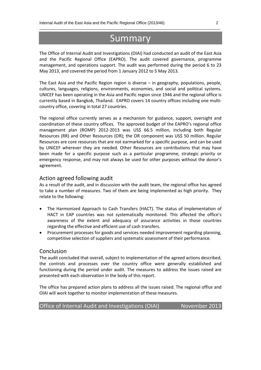# **Summary**

\_\_\_\_\_\_\_\_\_\_\_\_\_\_\_\_\_\_\_\_\_\_\_\_\_\_\_\_\_\_\_\_\_\_\_\_\_\_\_\_\_\_\_\_\_\_\_\_\_\_\_\_\_\_\_\_\_\_\_\_\_\_\_\_\_\_\_\_\_\_\_\_\_\_\_\_\_\_\_\_\_\_\_\_\_\_\_\_\_\_\_\_

The Office of Internal Audit and Investigations (OIAI) had conducted an audit of the East Asia and the Pacific Regional Office (EAPRO). The audit covered governance, programme management, and operations support. The audit was performed during the period 6 to 23 May 2013, and covered the period from 1 January 2012 to 5 May 2013.

The East Asia and the Pacific Region region is diverse – in geography, populations, people, cultures, languages, religions, environments, economies, and social and political systems. UNICEF has been operating in the Asia and Pacific region since 1946 and the regional office is currently based in Bangkok, Thailand. EAPRO covers 14 country offices including one multicountry office, covering in total 27 countries.

The regional office currently serves as a mechanism for guidance, support, oversight and coordination of these country offices. The approved budget of the EAPRO's regional office management plan (ROMP) 2012-2013 was US\$ 66.5 million, including both Regular Resources (RR) and Other Resources (OR); the OR component was US\$ 50 million. Regular Resources are core resources that are not earmarked for a specific purpose, and can be used by UNICEF wherever they are needed. Other Resources are contributions that may have been made for a specific purpose such as a particular programme, strategic priority or emergency response, and may not always be used for other purposes without the donor's agreement.

#### Action agreed following audit

As a result of the audit, and in discussion with the audit team, the regional office has agreed to take a number of measures. Two of them are being implemented as high priority. They relate to the following:

- The Harmonized Approach to Cash Transfers (HACT). The status of implementation of HACT in EAP countries was not systematically monitored. This affected the office's awareness of the extent and adequacy of assurance activities in those countries regarding the effective and efficient use of cash transfers.
- Procurement processes for goods and services needed improvement regarding planning, competitive selection of suppliers and systematic assessment of their performance.

#### Conclusion

The audit concluded that overall, subject to implementation of the agreed actions described, the controls and processes over the country office were generally established and functioning during the period under audit. The measures to address the issues raised are presented with each observation in the body of this report.

The office has prepared action plans to address all the issues raised. The regional office and OIAI will work together to monitor implementation of these measures.

| Office of Internal Audit and Investigations (OIAI) | November 2013 |
|----------------------------------------------------|---------------|
|----------------------------------------------------|---------------|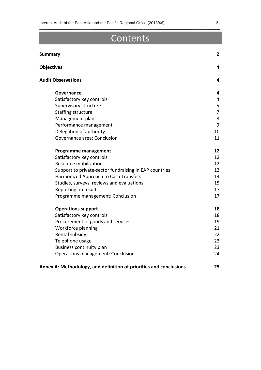# Contents

\_\_\_\_\_\_\_\_\_\_\_\_\_\_\_\_\_\_\_\_\_\_\_\_\_\_\_\_\_\_\_\_\_\_\_\_\_\_\_\_\_\_\_\_\_\_\_\_\_\_\_\_\_\_\_\_\_\_\_\_\_\_\_\_\_\_\_\_\_\_\_\_\_\_\_\_\_\_\_\_\_\_\_\_\_\_\_\_\_\_\_\_

| <b>Summary</b>                                                     | $\mathbf{2}$   |
|--------------------------------------------------------------------|----------------|
| <b>Objectives</b>                                                  | 4              |
| <b>Audit Observations</b>                                          | 4              |
| Governance                                                         | 4              |
| Satisfactory key controls                                          | 4              |
| Supervisory structure                                              | 5              |
| Staffing structure                                                 | $\overline{7}$ |
| Management plans                                                   | 8              |
| Performance management                                             | 9              |
| Delegation of authority                                            | 10             |
| Governance area: Conclusion                                        | 11             |
| <b>Programme management</b>                                        | 12             |
| Satisfactory key controls                                          | 12             |
| Resource mobilization                                              | 12             |
| Support to private-sector fundraising in EAP countries             | 13             |
| Harmonized Approach to Cash Transfers                              | 14             |
| Studies, surveys, reviews and evaluations                          | 15             |
| Reporting on results                                               | 17             |
| Programme management: Conclusion                                   | 17             |
| <b>Operations support</b>                                          | 18             |
| Satisfactory key controls                                          | 18             |
| Procurement of goods and services                                  | 19             |
| Workforce planning                                                 | 21             |
| Rental subsidy                                                     | 22             |
| Telephone usage                                                    | 23             |
| Business continuity plan                                           | 23             |
| Operations management: Conclusion                                  | 24             |
| Annex A: Methodology, and definition of priorities and conclusions | 25             |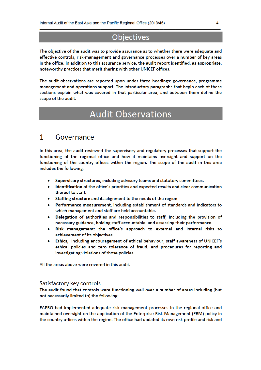# **Objectives**

The objective of the audit was to provide assurance as to whether there were adequate and effective controls, risk-management and governance processes over a number of key areas in the office. In addition to this assurance service, the audit report identified, as appropriate, noteworthy practices that merit sharing with other UNICEF offices.

The audit observations are reported upon under three headings: governance, programme management and operations support. The introductory paragraphs that begin each of these sections explain what was covered in that particular area, and between them define the scope of the audit.

# **Audit Observations**

#### 1 Governance

In this area, the audit reviewed the supervisory and regulatory processes that support the functioning of the regional office and how it maintains oversight and support on the functioning of the country offices within the region. The scope of the audit in this area includes the following:

- Supervisory structures, including advisory teams and statutory committees.
- Identification of the office's priorities and expected results and clear communication thereof to staff.
- Staffing structure and its alignment to the needs of the region.
- Performance measurement, including establishment of standards and indicators to which management and staff are held accountable.
- Delegation of authorities and responsibilities to staff, including the provision of necessary guidance, holding staff accountable, and assessing their performance.
- Risk management: the office's approach to external and internal risks to achievement of its objectives.
- Ethics, including encouragement of ethical behaviour, staff awareness of UNICEF's ethical policies and zero tolerance of fraud, and procedures for reporting and investigating violations of those policies.

All the areas above were covered in this audit.

#### Satisfactory key controls

The audit found that controls were functioning well over a number of areas including (but not necessarily limited to) the following:

EAPRO had implemented adequate risk management processes in the regional office and maintained oversight on the application of the Enterprise Risk Management (ERM) policy in the country offices within the region. The office had updated its own risk profile and risk and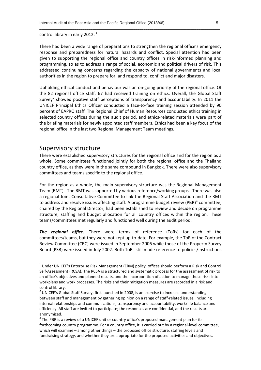control library in early 2012.  $^1$ 

There had been a wide range of preparations to strengthen the regional office's emergency response and preparedness for natural hazards and conflict. Special attention had been given to supporting the regional office and country offices in risk-informed planning and programming, so as to address a range of social, economic and political drivers of risk. This addressed continuing concerns regarding the capacity of national governments and local authorities in the region to prepare for, and respond to, conflict and major disasters.

\_\_\_\_\_\_\_\_\_\_\_\_\_\_\_\_\_\_\_\_\_\_\_\_\_\_\_\_\_\_\_\_\_\_\_\_\_\_\_\_\_\_\_\_\_\_\_\_\_\_\_\_\_\_\_\_\_\_\_\_\_\_\_\_\_\_\_\_\_\_\_\_\_\_\_\_\_\_\_\_\_\_\_\_\_\_\_\_\_\_\_\_

Upholding ethical conduct and behaviour was an on-going priority of the regional office. Of the 82 regional office staff, 67 had received training on ethics. Overall, the Global Staff Survey<sup>2</sup> showed positive staff perceptions of transparency and accountability. In 2011 the UNICEF Principal Ethics Officer conducted a face-to-face training session attended by 90 percent of EAPRO staff. The Regional Chief of Human Resources conducted ethics training in selected country offices during the audit period, and ethics-related materials were part of the briefing materials for newly appointed staff members. Ethics had been a key focus of the regional office in the last two Regional Management Team meetings.

#### Supervisory structure

1

There were established supervisory structures for the regional office and for the region as a whole. Some committees functioned jointly for both the regional office and the Thailand country office, as they were in the same compound in Bangkok. There were also supervisory committees and teams specific to the regional office.

For the region as a whole, the main supervisory structure was the Regional Management Team (RMT). The RMT was supported by various reference/working groups. There was also a regional Joint Consultative Committee to link the Regional Staff Association and the RMT to address and resolve issues affecting staff. A programme budget review (PBR) $3$  committee, chaired by the Regional Director, had been established to review and decide on programme structure, staffing and budget allocation for all country offices within the region. These teams/committees met regularly and functioned well during the audit period.

*The regional office:* There were terms of reference (ToRs) for each of the committees/teams, but they were not kept up-to-date. For example, the ToR of the Contract Review Committee (CRC) were issued in September 2006 while those of the Property Survey Board (PSB) were issued in July 2002. Both ToRs still made reference to policies/instructions

 $1$  Under UNICEF's Enterprise Risk Management (ERM) policy, offices should perform a Risk and Control Self-Assessment (RCSA). The RCSA is a structured and systematic process for the assessment of risk to an office's objectives and planned results, and the incorporation of action to manage those risks into workplans and work processes. The risks and their mitigation measures are recorded in a risk and control library.

 $2$  UNICEF's Global Staff Survey, first launched in 2008, is an exercise to increase understanding between staff and management by gathering opinion on a range of staff-related issues, including internal relationships and communications, transparency and accountability, work/life balance and efficiency. All staff are invited to participate; the responses are confidential, and the results are anonymized.

<sup>&</sup>lt;sup>3</sup> The PBR is a review of a UNICEF unit or country office's proposed management plan for its forthcoming country programme. For a country office, it is carried out by a regional-level committee, which will examine – among other things – the proposed office structure, staffing levels and fundraising strategy, and whether they are appropriate for the proposed activities and objectives.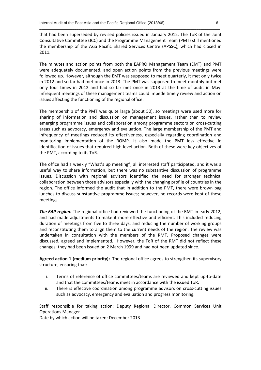that had been superseded by revised policies issued in January 2012. The ToR of the Joint Consultative Committee (JCC) and the Programme Management Team (PMT) still mentioned the membership of the Asia Pacific Shared Services Centre (APSSC), which had closed in 2011.

\_\_\_\_\_\_\_\_\_\_\_\_\_\_\_\_\_\_\_\_\_\_\_\_\_\_\_\_\_\_\_\_\_\_\_\_\_\_\_\_\_\_\_\_\_\_\_\_\_\_\_\_\_\_\_\_\_\_\_\_\_\_\_\_\_\_\_\_\_\_\_\_\_\_\_\_\_\_\_\_\_\_\_\_\_\_\_\_\_\_\_\_

The minutes and action points from both the EAPRO Management Team (EMT) and PMT were adequately documented, and open action points from the previous meetings were followed up. However, although the EMT was supposed to meet quarterly, it met only twice in 2012 and so far had met once in 2013. The PMT was supposed to meet monthly but met only four times in 2012 and had so far met once in 2013 at the time of audit in May. Infrequent meetings of these management teams could impede timely review and action on issues affecting the functioning of the regional office.

The membership of the PMT was quite large (about 50), so meetings were used more for sharing of information and discussion on management issues, rather than to review emerging programme issues and collaboration among programme sectors on cross-cutting areas such as advocacy, emergency and evaluation. The large membership of the PMT and infrequency of meetings reduced its effectiveness, especially regarding coordination and monitoring implementation of the ROMP. It also made the PMT less effective in identification of issues that required high-level action. Both of these were key objectives of the PMT, according to its ToR.

The office had a weekly "What's up meeting"; all interested staff participated, and it was a useful way to share information, but there was no substantive discussion of programme issues. Discussion with regional advisors identified the need for stronger technical collaboration between those advisors especially with the changing profile of countries in the region. The office informed the audit that in addition to the PMT, there were brown bag lunches to discuss substantive programme issues; however, no records were kept of these meetings.

*The EAP region:* The regional office had reviewed the functioning of the RMT in early 2012, and had made adjustments to make it more effective and efficient. This included reducing duration of meetings from five to three days, and reducing the number of working groups and reconstituting them to align them to the current needs of the region. The review was undertaken in consultation with the members of the RMT. Proposed changes were discussed, agreed and implemented. However, the ToR of the RMT did not reflect these changes; they had been issued on 2 March 1999 and had not been updated since.

**Agreed action 1 (medium priority):** The regional office agrees to strengthen its supervisory structure, ensuring that:

- i. Terms of reference of office committees/teams are reviewed and kept up-to-date and that the committees/teams meet in accordance with the issued ToR.
- ii. There is effective coordination among programme advisors on cross-cutting issues such as advocacy, emergency and evaluation and progress monitoring.

Staff responsible for taking action: Deputy Regional Director, Common Services Unit Operations Manager

Date by which action will be taken: December 2013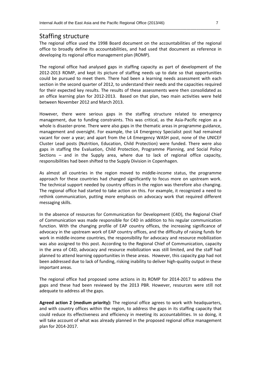#### Staffing structure

The regional office used the 1998 Board document on the accountabilities of the regional office to broadly define its accountabilities, and had used that document as reference in developing its regional office management plan (ROMP).

\_\_\_\_\_\_\_\_\_\_\_\_\_\_\_\_\_\_\_\_\_\_\_\_\_\_\_\_\_\_\_\_\_\_\_\_\_\_\_\_\_\_\_\_\_\_\_\_\_\_\_\_\_\_\_\_\_\_\_\_\_\_\_\_\_\_\_\_\_\_\_\_\_\_\_\_\_\_\_\_\_\_\_\_\_\_\_\_\_\_\_\_

The regional office had analysed gaps in staffing capacity as part of development of the 2012-2013 ROMP, and kept its picture of staffing needs up to date so that opportunities could be pursued to meet them. There had been a learning needs assessment with each section in the second quarter of 2012, to understand their needs and the capacities required for their expected key results. The results of these assessments were then consolidated as an office learning plan for 2012-2013. Based on that plan, two main activities were held between November 2012 and March 2013.

However, there were serious gaps in the staffing structure related to emergency management, due to funding constraints. This was critical, as the Asia-Pacific region as a whole is disaster-prone. There were also gaps in the thematic areas in programme guidance, management and oversight. For example, the L4 Emergency Specialist post had remained vacant for over a year; and apart from the L4 Emergency WASH post, none of the UNICEF Cluster Lead posts (Nutrition, Education, Child Protection) were funded. There were also gaps in staffing the Evaluation, Child Protection, Programme Planning, and Social Policy Sections – and in the Supply area, where due to lack of regional office capacity, responsibilities had been shifted to the Supply Division in Copenhagen.

As almost all countries in the region moved to middle-income status, the programme approach for these countries had changed significantly to focus more on upstream work. The technical support needed by country offices in the region was therefore also changing. The regional office had started to take action on this. For example, it recognized a need to rethink communication, putting more emphasis on advocacy work that required different messaging skills.

In the absence of resources for Communication for Development (C4D), the Regional Chief of Communication was made responsible for C4D in addition to his regular communication function. With the changing profile of EAP country offices, the increasing significance of advocacy in the upstream work of EAP country offices, and the difficulty of raising funds for work in middle-income countries, the responsibility for advocacy and resource mobilization was also assigned to this post. According to the Regional Chief of Communication, capacity in the area of C4D, advocacy and resource mobilization was still limited, and the staff had planned to attend learning opportunities in these areas. However, this capacity gap had not been addressed due to lack of funding, risking inability to deliver high-quality output in these important areas.

The regional office had proposed some actions in its ROMP for 2014-2017 to address the gaps and these had been reviewed by the 2013 PBR. However, resources were still not adequate to address all the gaps.

**Agreed action 2 (medium priority):** The regional office agrees to work with headquarters, and with country offices within the region, to address the gaps in its staffing capacity that could reduce its effectiveness and efficiency in meeting its accountabilities. In so doing, it will take account of what was already planned in the proposed regional office management plan for 2014-2017.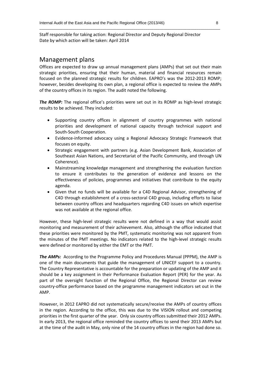Staff responsible for taking action: Regional Director and Deputy Regional Director Date by which action will be taken: April 2014

#### Management plans

Offices are expected to draw up annual management plans (AMPs) that set out their main strategic priorities, ensuring that their human, material and financial resources remain focused on the planned strategic results for children. EAPRO's was the 2012-2013 ROMP; however, besides developing its own plan, a regional office is expected to review the AMPs of the country offices in its region. The audit noted the following.

\_\_\_\_\_\_\_\_\_\_\_\_\_\_\_\_\_\_\_\_\_\_\_\_\_\_\_\_\_\_\_\_\_\_\_\_\_\_\_\_\_\_\_\_\_\_\_\_\_\_\_\_\_\_\_\_\_\_\_\_\_\_\_\_\_\_\_\_\_\_\_\_\_\_\_\_\_\_\_\_\_\_\_\_\_\_\_\_\_\_\_\_

**The ROMP:** The regional office's priorities were set out in its ROMP as high-level strategic results to be achieved. They included:

- Supporting country offices in alignment of country programmes with national priorities and development of national capacity through technical support and South-South Cooperation.
- Evidence-informed advocacy using a Regional Advocacy Strategic Framework that focuses on equity.
- Strategic engagement with partners (e.g. Asian Development Bank, Association of Southeast Asian Nations, and Secretariat of the Pacific Community, and through UN Coherence).
- Mainstreaming knowledge management and strengthening the evaluation function to ensure it contributes to the generation of evidence and lessons on the effectiveness of policies, programmes and initiatives that contribute to the equity agenda.
- Given that no funds will be available for a C4D Regional Advisor, strengthening of C4D through establishment of a cross-sectoral C4D group, including efforts to liaise between country offices and headquarters regarding C4D issues on which expertise was not available at the regional office.

However, these high-level strategic results were not defined in a way that would assist monitoring and measurement of their achievement. Also, although the office indicated that these priorities were monitored by the PMT, systematic monitoring was not apparent from the minutes of the PMT meetings. No indicators related to the high-level strategic results were defined or monitored by either the EMT or the PMT.

*The AMPs:* According to the Programme Policy and Procedures Manual (PPPM), the AMP is one of the main documents that guide the management of UNICEF support to a country. The Country Representative is accountable for the preparation or updating of the AMP and it should be a key assignment in their Performance Evaluation Report (PER) for the year. As part of the oversight function of the Regional Office, the Regional Director can review country-office performance based on the programme management indicators set out in the AMP.

However, in 2012 EAPRO did not systematically secure/receive the AMPs of country offices in the region. According to the office, this was due to the VISION rollout and competing priorities in the first quarter of the year. Only six country offices submitted their 2012 AMPs. In early 2013, the regional office reminded the country offices to send their 2013 AMPs but at the time of the audit in May, only nine of the 14 country offices in the region had done so.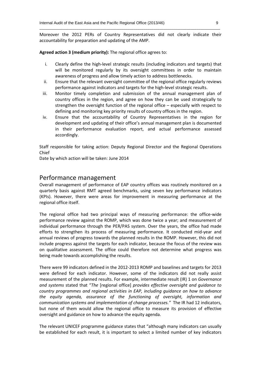Moreover the 2012 PERs of Country Representatives did not clearly indicate their accountability for preparation and updating of the AMP.

\_\_\_\_\_\_\_\_\_\_\_\_\_\_\_\_\_\_\_\_\_\_\_\_\_\_\_\_\_\_\_\_\_\_\_\_\_\_\_\_\_\_\_\_\_\_\_\_\_\_\_\_\_\_\_\_\_\_\_\_\_\_\_\_\_\_\_\_\_\_\_\_\_\_\_\_\_\_\_\_\_\_\_\_\_\_\_\_\_\_\_\_

**Agreed action 3 (medium priority):** The regional office agrees to:

- i. Clearly define the high-level strategic results (including indicators and targets) that will be monitored regularly by its oversight committees in order to maintain awareness of progress and allow timely action to address bottlenecks.
- ii. Ensure that the relevant oversight committee of the regional office regularly reviews performance against indicators and targets for the high-level strategic results.
- iii. Monitor timely completion and submission of the annual management plan of country offices in the region, and agree on how they can be used strategically to strengthen the oversight function of the regional office – especially with respect to defining and monitoring key priority results of country offices in the region.
- iv. Ensure that the accountability of Country Representatives in the region for development and updating of their office's annual management plan is documented in their performance evaluation report, and actual performance assessed accordingly.

Staff responsible for taking action: Deputy Regional Director and the Regional Operations Chief

Date by which action will be taken: June 2014

#### Performance management

Overall management of performance of EAP country offices was routinely monitored on a quarterly basis against RMT agreed benchmarks, using seven key performance indicators (KPIs). However, there were areas for improvement in measuring performance at the regional office itself.

The regional office had two principal ways of measuring performance: the office-wide performance review against the ROMP, which was done twice a year; and measurement of individual performance through the PER/PAS system. Over the years, the office had made efforts to strengthen its process of measuring performance. It conducted mid-year and annual reviews of progress towards the planned results in the ROMP. However, this did not include progress against the targets for each indicator, because the focus of the review was on qualitative assessment. The office could therefore not determine what progress was being made towards accomplishing the results.

There were 99 indicators defined in the 2012-2013 ROMP and baselines and targets for 2013 were defined for each indicator. However, some of the indicators did not really assist measurement of the planned results. For example, intermediate result (IR) 1 on *Governance and systems* stated that "*The* [regional office] *provides effective oversight and guidance to country programmes and regional activities in EAP, including guidance on how to advance the equity agenda, assurance of the functioning of oversight, information and communication systems and implementation of change processes."* The IR had 12 indicators, but none of them would allow the regional office to measure its provision of effective oversight and guidance on how to advance the equity agenda.

The relevant UNICEF programme guidance states that "although many indicators can usually be established for each result, it is important to select a limited number of key indicators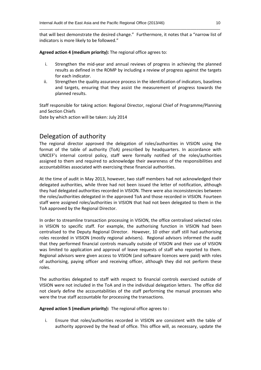that will best demonstrate the desired change." Furthermore, it notes that a "narrow list of indicators is more likely to be followed."

\_\_\_\_\_\_\_\_\_\_\_\_\_\_\_\_\_\_\_\_\_\_\_\_\_\_\_\_\_\_\_\_\_\_\_\_\_\_\_\_\_\_\_\_\_\_\_\_\_\_\_\_\_\_\_\_\_\_\_\_\_\_\_\_\_\_\_\_\_\_\_\_\_\_\_\_\_\_\_\_\_\_\_\_\_\_\_\_\_\_\_\_

**Agreed action 4 (medium priority):** The regional office agrees to:

- i. Strengthen the mid-year and annual reviews of progress in achieving the planned results as defined in the ROMP by including a review of progress against the targets for each indicator.
- ii. Strengthen the quality assurance process in the identification of indicators, baselines and targets, ensuring that they assist the measurement of progress towards the planned results.

Staff responsible for taking action: Regional Director, regional Chief of Programme/Planning and Section Chiefs

Date by which action will be taken: July 2014

### Delegation of authority

The regional director approved the delegation of roles/authorities in VISION using the format of the table of authority (ToA) prescribed by headquarters. In accordance with UNICEF's internal control policy, staff were formally notified of the roles/authorities assigned to them and required to acknowledge their awareness of the responsibilities and accountabilities associated with exercising these financial authorities.

At the time of audit in May 2013, however, two staff members had not acknowledged their delegated authorities, while three had not been issued the letter of notification, although they had delegated authorities recorded in VISION. There were also inconsistencies between the roles/authorities delegated in the approved ToA and those recorded in VISION. Fourteen staff were assigned roles/authorities in VISION that had not been delegated to them in the ToA approved by the Regional Director.

In order to streamline transaction processing in VISION, the office centralised selected roles in VISION to specific staff. For example, the authorising function in VISION had been centralised to the Deputy Regional Director. However, 10 other staff still had authorising roles recorded in VISION (mostly regional advisers). Regional advisors informed the audit that they performed financial controls manually outside of VISION and their use of VISION was limited to application and approval of leave requests of staff who reported to them. Regional advisors were given access to VISION (and software licences were paid) with roles of authorising, paying officer and receiving officer, although they did not perform these roles.

The authorities delegated to staff with respect to financial controls exercised outside of VISION were not included in the ToA and in the individual delegation letters. The office did not clearly define the accountabilities of the staff performing the manual processes who were the true staff accountable for processing the transactions.

**Agreed action 5 (medium priority):** The regional office agrees to :

i. Ensure that roles/authorities recorded in VISION are consistent with the table of authority approved by the head of office. This office will, as necessary, update the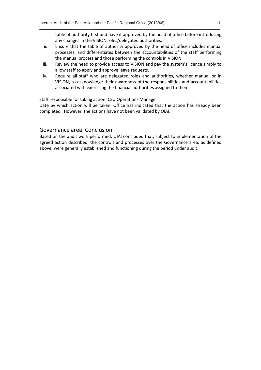table of authority first and have it approved by the head of office before introducing any changes in the VISION roles/delegated authorities.

ii. Ensure that the table of authority approved by the head of office includes manual processes, and differentiates between the accountabilities of the staff performing the manual process and those performing the controls in VISION.

\_\_\_\_\_\_\_\_\_\_\_\_\_\_\_\_\_\_\_\_\_\_\_\_\_\_\_\_\_\_\_\_\_\_\_\_\_\_\_\_\_\_\_\_\_\_\_\_\_\_\_\_\_\_\_\_\_\_\_\_\_\_\_\_\_\_\_\_\_\_\_\_\_\_\_\_\_\_\_\_\_\_\_\_\_\_\_\_\_\_\_\_

- iii. Review the need to provide access to VISION and pay the system's licence simply to allow staff to apply and approve leave requests.
- iv. Require all staff who are delegated roles and authorities, whether manual or in VISION, to acknowledge their awareness of the responsibilities and accountabilities associated with exercising the financial authorities assigned to them.

Staff responsible for taking action: CSU Operations Manager

Date by which action will be taken: Office has indicated that the action has already been completed. However, the actions have not been validated by OIAI.

#### Governance area: Conclusion

Based on the audit work performed, OIAI concluded that, subject to implementation of the agreed action described, the controls and processes over the Governance area, as defined above, were generally established and functioning during the period under audit.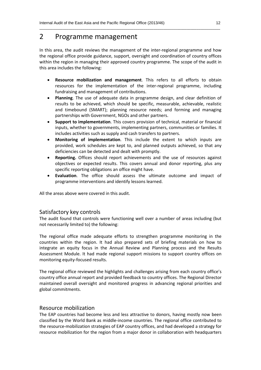### 2 Programme management

In this area, the audit reviews the management of the inter-regional programme and how the regional office provide guidance, support, oversight and coordination of country offices within the region in managing their approved country programme. The scope of the audit in this area includes the following:

\_\_\_\_\_\_\_\_\_\_\_\_\_\_\_\_\_\_\_\_\_\_\_\_\_\_\_\_\_\_\_\_\_\_\_\_\_\_\_\_\_\_\_\_\_\_\_\_\_\_\_\_\_\_\_\_\_\_\_\_\_\_\_\_\_\_\_\_\_\_\_\_\_\_\_\_\_\_\_\_\_\_\_\_\_\_\_\_\_\_\_\_

- **Resource mobilization and management**. This refers to all efforts to obtain resources for the implementation of the inter-regional programme, including fundraising and management of contributions.
- **Planning**. The use of adequate data in programme design, and clear definition of results to be achieved, which should be specific, measurable, achievable, realistic and timebound (SMART); planning resource needs; and forming and managing partnerships with Government, NGOs and other partners.
- **Support to implementation**. This covers provision of technical, material or financial inputs, whether to governments, implementing partners, communities or families. It includes activities such as supply and cash transfers to partners.
- **Monitoring of implementation**. This include the extent to which inputs are provided, work schedules are kept to, and planned outputs achieved, so that any deficiencies can be detected and dealt with promptly.
- **Reporting.** Offices should report achievements and the use of resources against objectives or expected results. This covers annual and donor reporting, plus any specific reporting obligations an office might have.
- **Evaluation**. The office should assess the ultimate outcome and impact of programme interventions and identify lessons learned.

All the areas above were covered in this audit.

#### Satisfactory key controls

The audit found that controls were functioning well over a number of areas including (but not necessarily limited to) the following:

The regional office made adequate efforts to strengthen programme monitoring in the countries within the region. It had also prepared sets of briefing materials on how to integrate an equity focus in the Annual Review and Planning process and the Results Assessment Module. It had made regional support missions to support country offices on monitoring equity-focused results.

The regional office reviewed the highlights and challenges arising from each country office's country office annual report and provided feedback to country offices. The Regional Director maintained overall oversight and monitored progress in advancing regional priorities and global commitments.

#### Resource mobilization

The EAP countries had become less and less attractive to donors, having mostly now been classified by the World Bank as middle-income countries. The regional office contributed to the resource-mobilization strategies of EAP country offices, and had developed a strategy for resource mobilization for the region from a major donor in collaboration with headquarters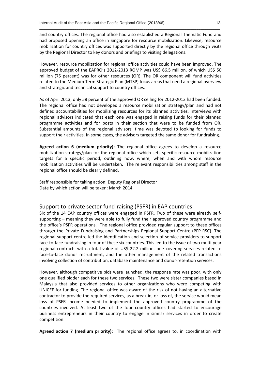and country offices. The regional office had also established a Regional Thematic Fund and had proposed opening an office in Singapore for resource mobilization. Likewise, resource mobilization for country offices was supported directly by the regional office through visits by the Regional Director to key donors and briefings to visiting delegations.

\_\_\_\_\_\_\_\_\_\_\_\_\_\_\_\_\_\_\_\_\_\_\_\_\_\_\_\_\_\_\_\_\_\_\_\_\_\_\_\_\_\_\_\_\_\_\_\_\_\_\_\_\_\_\_\_\_\_\_\_\_\_\_\_\_\_\_\_\_\_\_\_\_\_\_\_\_\_\_\_\_\_\_\_\_\_\_\_\_\_\_\_

However, resource mobilization for regional office activities could have been improved. The approved budget of the EAPRO's 2012-2013 ROMP was US\$ 66.5 million, of which US\$ 50 million (75 percent) was for other resources (OR). The OR component will fund activities related to the Medium Term Strategic Plan (MTSP) focus areas that need a regional overview and strategic and technical support to country offices.

As of April 2013, only 58 percent of the approved OR ceiling for 2012-2013 had been funded. The regional office had not developed a resource mobilization strategy/plan and had not defined accountabilities for mobilizing resources for its planned activities. Interviews with regional advisors indicated that each one was engaged in raising funds for their planned programme activities and for posts in their section that were to be funded from OR. Substantial amounts of the regional advisors' time was devoted to looking for funds to support their activities. In some cases, the advisors targeted the same donor for fundraising.

**Agreed action 6 (medium priority):** The regional office agrees to develop a resource mobilization strategy/plan for the regional office which sets specific resource mobilization targets for a specific period, outlining how, where, when and with whom resource mobilization activities will be undertaken. The relevant responsibilities among staff in the regional office should be clearly defined.

Staff responsible for taking action: Deputy Regional Director Date by which action will be taken: March 2014

#### Support to private sector fund-raising (PSFR) in EAP countries

Six of the 14 EAP country offices were engaged in PSFR. Two of these were already selfsupporting – meaning they were able to fully fund their approved country programme and the office's PSFR operations. The regional office provided regular support to these offices through the Private Fundraising and Partnerships Regional Support Centre (PFP-RSC). The regional support centre led the identification and selection of service providers to support face-to-face fundraising in four of these six countries. This led to the issue of two multi-year regional contracts with a total value of US\$ 22.2 million, one covering services related to face-to-face donor recruitment, and the other management of the related transactions involving collection of contribution, database maintenance and donor-retention services.

However, although competitive bids were launched, the response rate was poor, with only one qualified bidder each for these two services. These two were sister companies based in Malaysia that also provided services to other organizations who were competing with UNICEF for funding. The regional office was aware of the risk of not having an alternative contractor to provide the required services, as a break in, or loss of, the service would mean loss of PSFR income needed to implement the approved country programme of the countries involved. At least two of the four country offices had started to encourage business entrepreneurs in their country to engage in similar services in order to create competition.

**Agreed action 7 (medium priority):** The regional office agrees to, in coordination with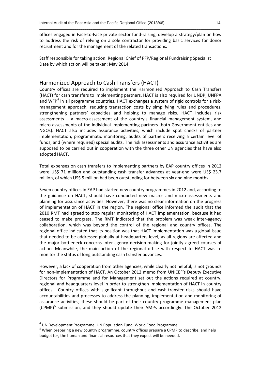offices engaged in Face-to-Face private sector fund-raising, develop a strategy/plan on how to address the risk of relying on a sole contractor for providing basic services for donor recruitment and for the management of the related transactions.

\_\_\_\_\_\_\_\_\_\_\_\_\_\_\_\_\_\_\_\_\_\_\_\_\_\_\_\_\_\_\_\_\_\_\_\_\_\_\_\_\_\_\_\_\_\_\_\_\_\_\_\_\_\_\_\_\_\_\_\_\_\_\_\_\_\_\_\_\_\_\_\_\_\_\_\_\_\_\_\_\_\_\_\_\_\_\_\_\_\_\_\_

Staff responsible for taking action: Regional Chief of PFP/Regional Fundraising Specialist Date by which action will be taken: May 2014

#### Harmonized Approach to Cash Transfers (HACT)

Country offices are required to implement the Harmonized Approach to Cash Transfers (HACT) for cash transfers to implementing partners. HACT is also required for UNDP, UNFPA and WFP<sup>4</sup> in all programme countries. HACT exchanges a system of rigid controls for a riskmanagement approach, reducing transaction costs by simplifying rules and procedures, strengthening partners' capacities and helping to manage risks. HACT includes risk assessments – a macro-assessment of the country's financial management system, and micro-assessments of the individual implementing partners (both Government entities and NGOs). HACT also includes assurance activities, which include spot checks of partner implementation, programmatic monitoring, audits of partners receiving a certain level of funds, and (where required) special audits. The risk assessments and assurance activities are supposed to be carried out in cooperation with the three other UN agencies that have also adopted HACT.

Total expenses on cash transfers to implementing partners by EAP country offices in 2012 were US\$ 71 million and outstanding cash transfer advances at year-end were US\$ 23.7 million, of which US\$ 5 million had been outstanding for between six and nine months.

Seven country offices in EAP had started new country programmes in 2012 and, according to the guidance on HACT, should have conducted new macro- and micro-assessments and planning for assurance activities. However, there was no clear information on the progress of implementation of HACT in the region. The regional office informed the audit that the 2010 RMT had agreed to stop regular monitoring of HACT implementation, because it had ceased to make progress. The RMT indicated that the problem was weak inter-agency collaboration, which was beyond the control of the regional and country offices. The regional office indicated that its position was that HACT implementation was a global issue that needed to be addressed globally at headquarters level, as all regions are affected and the major bottleneck concerns inter-agency decision-making for jointly agreed courses of action. Meanwhile, the main action of the regional office with respect to HACT was to monitor the status of long outstanding cash transfer advances.

However, a lack of cooperation from other agencies, while clearly not helpful, is not grounds for non-implementation of HACT. An October 2012 memo from UNICEF's Deputy Executive Directors for Programme and for Management set out the actions required at country, regional and headquarters level in order to strengthen implementation of HACT in country offices. Country offices with significant throughput and cash-transfer risks should have accountabilities and processes to address the planning, implementation and monitoring of assurance activities; these should be part of their country programme management plan (CPMP)<sup>5</sup> submission, and they should update their AMPs accordingly. The October 2012

-

<sup>4</sup> UN Development Programme, UN Population Fund, World Food Programme.

<sup>&</sup>lt;sup>5</sup> When preparing a new country programme, country offices prepare a CPMP to describe, and help budget for, the human and financial resources that they expect will be needed.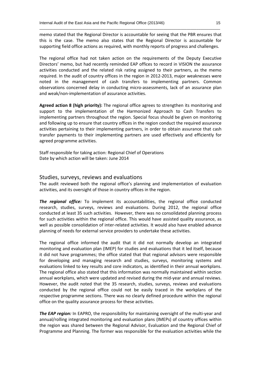memo stated that the Regional Director is accountable for seeing that the PBR ensures that this is the case. The memo also states that the Regional Director is accountable for supporting field office actions as required, with monthly reports of progress and challenges.

\_\_\_\_\_\_\_\_\_\_\_\_\_\_\_\_\_\_\_\_\_\_\_\_\_\_\_\_\_\_\_\_\_\_\_\_\_\_\_\_\_\_\_\_\_\_\_\_\_\_\_\_\_\_\_\_\_\_\_\_\_\_\_\_\_\_\_\_\_\_\_\_\_\_\_\_\_\_\_\_\_\_\_\_\_\_\_\_\_\_\_\_

The regional office had not taken action on the requirements of the Deputy Executive Directors' memo, but had recently reminded EAP offices to record in VISION the assurance activities conducted and the related risk rating assigned to their partners, as the memo required. In the audit of country offices in the region in 2012-2013, major weaknesses were noted in the management of cash transfers to implementing partners. Common observations concerned delay in conducting micro-assessments, lack of an assurance plan and weak/non-implementation of assurance activities.

**Agreed action 8 (high priority):** The regional office agrees to strengthen its monitoring and support to the implementation of the Harmonized Approach to Cash Transfers to implementing partners throughout the region. Special focus should be given on monitoring and following up to ensure that country offices in the region conduct the required assurance activities pertaining to their implementing partners, in order to obtain assurance that cash transfer payments to their implementing partners are used effectively and efficiently for agreed programme activities.

Staff responsible for taking action: Regional Chief of Operations Date by which action will be taken: June 2014

#### Studies, surveys, reviews and evaluations

The audit reviewed both the regional office's planning and implementation of evaluation activities, and its oversight of those in country offices in the region.

*The regional office:* To implement its accountabilities, the regional office conducted research, studies, surveys, reviews and evaluations. During 2012, the regional office conducted at least 35 such activities. However, there was no consolidated planning process for such activities within the regional office. This would have assisted quality assurance, as well as possible consolidation of inter-related activities. It would also have enabled advance planning of needs for external service providers to undertake these activities.

The regional office informed the audit that it did not normally develop an integrated monitoring and evaluation plan (IMEP) for studies and evaluations that it led itself, because it did not have programmes; the office stated that that regional advisors were responsible for developing and managing research and studies, surveys, monitoring systems and evaluations linked to key results and core indicators, as identified in their annual workplans. The regional office also stated that this information was normally maintained within section annual workplans, which were updated and revised during the mid-year and annual reviews. However, the audit noted that the 35 research, studies, surveys, reviews and evaluations conducted by the regional office could not be easily traced in the workplans of the respective programme sections. There was no clearly defined procedure within the regional office on the quality assurance process for these activities.

**The EAP region:** In EAPRO, the responsibility for maintaining oversight of the multi-year and annual/rolling integrated monitoring and evaluation plans (IMEPs) of country offices within the region was shared between the Regional Advisor, Evaluation and the Regional Chief of Programme and Planning. The former was responsible for the evaluation activities while the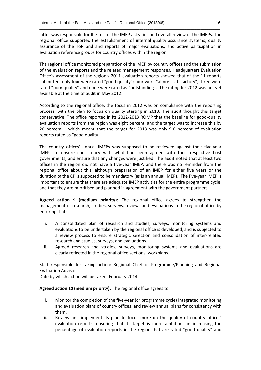latter was responsible for the rest of the IMEP activities and overall review of the IMEPs. The regional office supported the establishment of internal quality assurance systems, quality assurance of the ToR and and reports of major evaluations, and active participation in evaluation reference groups for country offices within the region.

\_\_\_\_\_\_\_\_\_\_\_\_\_\_\_\_\_\_\_\_\_\_\_\_\_\_\_\_\_\_\_\_\_\_\_\_\_\_\_\_\_\_\_\_\_\_\_\_\_\_\_\_\_\_\_\_\_\_\_\_\_\_\_\_\_\_\_\_\_\_\_\_\_\_\_\_\_\_\_\_\_\_\_\_\_\_\_\_\_\_\_\_

The regional office monitored preparation of the IMEP by country offices and the submission of the evaluation reports and the related management responses. Headquarters Evaluation Office's assessment of the region's 2011 evaluation reports showed that of the 11 reports submitted, only four were rated "good quality"; four were "almost satisfactory", three were rated "poor quality" and none were rated as "outstanding". The rating for 2012 was not yet available at the time of audit in May 2012.

According to the regional office, the focus in 2012 was on compliance with the reporting process, with the plan to focus on quality starting in 2013. The audit thought this target conservative. The office reported in its 2012-2013 ROMP that the baseline for good-quality evaluation reports from the region was eight percent, and the target was to increase this by 20 percent – which meant that the target for 2013 was only 9.6 percent of evaluation reports rated as "good quality."

The country offices' annual IMEPs was supposed to be reviewed against their five-year IMEPs to ensure consistency with what had been agreed with their respective host governments, and ensure that any changes were justified. The audit noted that at least two offices in the region did not have a five-year IMEP, and there was no reminder from the regional office about this, although preparation of an IMEP for either five years or the duration of the CP is supposed to be mandatory (as is an annual IMEP). The five-year IMEP is important to ensure that there are adequate IMEP activities for the entire programme cycle, and that they are prioritised and planned in agreement with the government partners.

**Agreed action 9 (medium priority):** The regional office agrees to strengthen the management of research, studies, surveys, reviews and evaluations in the regional office by ensuring that:

- i. A consolidated plan of research and studies, surveys, monitoring systems and evaluations to be undertaken by the regional office is developed, and is subjected to a review process to ensure strategic selection and consolidation of inter-related research and studies, surveys, and evaluations.
- ii. Agreed research and studies, surveys, monitoring systems and evaluations are clearly reflected in the regional office sections' workplans.

Staff responsible for taking action: Regional Chief of Programme/Planning and Regional Evaluation Advisor

Date by which action will be taken: February 2014

**Agreed action 10 (medium priority):** The regional office agrees to:

- i. Monitor the completion of the five-year (or programme cycle) integrated monitoring and evaluation plans of country offices, and review annual plans for consistency with them.
- ii. Review and implement its plan to focus more on the quality of country offices' evaluation reports, ensuring that its target is more ambitious in increasing the percentage of evaluation reports in the region that are rated "good quality" and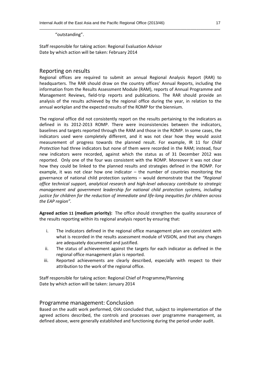"outstanding".

Staff responsible for taking action: Regional Evaluation Advisor Date by which action will be taken: February 2014

#### Reporting on results

Regional offices are required to submit an annual Regional Analysis Report (RAR) to headquarters. The RAR should draw on the country offices' Annual Reports, including the information from the Results Assessment Module (RAM), reports of Annual Programme and Management Reviews, field-trip reports and publications. The RAR should provide an analysis of the results achieved by the regional office during the year, in relation to the annual workplan and the expected results of the ROMP for the biennium.

\_\_\_\_\_\_\_\_\_\_\_\_\_\_\_\_\_\_\_\_\_\_\_\_\_\_\_\_\_\_\_\_\_\_\_\_\_\_\_\_\_\_\_\_\_\_\_\_\_\_\_\_\_\_\_\_\_\_\_\_\_\_\_\_\_\_\_\_\_\_\_\_\_\_\_\_\_\_\_\_\_\_\_\_\_\_\_\_\_\_\_\_

The regional office did not consistently report on the results pertaining to the indicators as defined in its 2012-2013 ROMP. There were inconsistencies between the indicators, baselines and targets reported through the RAM and those in the ROMP. In some cases, the indicators used were completely different, and it was not clear how they would assist measurement of progress towards the planned result. For example, IR 11 for *Child Protection* had three indicators but none of them were recorded in the RAM; instead, four new indicators were recorded, against which the status as of 31 December 2012 was reported. Only one of the four was consistent with the ROMP. Moreover it was not clear how they could be linked to the planned results and strategies defined in the ROMP. For example, it was not clear how one indicator  $-$  the number of countries monitoring the governance of national child protection systems – would demonstrate that the *"Regional office technical support, analytical research and high-level advocacy contribute to strategic management and government leadership for national child protection systems, including justice for children for the reduction of immediate and life-long inequities for children across the EAP region".*

**Agreed action 11 (medium priority):** The office should strengthen the quality assurance of the results reporting within its regional analysis report by ensuring that:

- i. The indicators defined in the regional office management plan are consistent with what is recorded in the results assessment module of VISION, and that any changes are adequately documented and justified.
- ii. The status of achievement against the targets for each indicator as defined in the regional office management plan is reported.
- iii. Reported achievements are clearly described, especially with respect to their attribution to the work of the regional office.

Staff responsible for taking action: Regional Chief of Programme/Planning Date by which action will be taken: January 2014

#### Programme management: Conclusion

Based on the audit work performed, OIAI concluded that, subject to implementation of the agreed actions described, the controls and processes over programme management, as defined above, were generally established and functioning during the period under audit.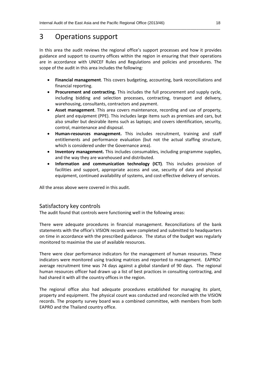# 3 Operations support

In this area the audit reviews the regional office's support processes and how it provides guidance and support to country offices within the region in ensuring that their operations are in accordance with UNICEF Rules and Regulations and policies and procedures. The scope of the audit in this area includes the following*:*

\_\_\_\_\_\_\_\_\_\_\_\_\_\_\_\_\_\_\_\_\_\_\_\_\_\_\_\_\_\_\_\_\_\_\_\_\_\_\_\_\_\_\_\_\_\_\_\_\_\_\_\_\_\_\_\_\_\_\_\_\_\_\_\_\_\_\_\_\_\_\_\_\_\_\_\_\_\_\_\_\_\_\_\_\_\_\_\_\_\_\_\_

- **Financial management**. This covers budgeting, accounting, bank reconciliations and financial reporting.
- **Procurement and contracting.** This includes the full procurement and supply cycle, including bidding and selection processes, contracting, transport and delivery, warehousing, consultants, contractors and payment.
- **Asset management**. This area covers maintenance, recording and use of property, plant and equipment (PPE). This includes large items such as premises and cars, but also smaller but desirable items such as laptops; and covers identification, security, control, maintenance and disposal.
- **Human-resources management.** This includes recruitment, training and staff entitlements and performance evaluation (but not the actual staffing structure, which is considered under the Governance area).
- **Inventory management.** This includes consumables, including programme supplies, and the way they are warehoused and distributed.
- **Information and communication technology (ICT)**. This includes provision of facilities and support, appropriate access and use, security of data and physical equipment, continued availability of systems, and cost-effective delivery of services.

All the areas above were covered in this audit.

#### Satisfactory key controls

The audit found that controls were functioning well in the following areas:

There were adequate procedures in financial management. Reconciliations of the bank statements with the office's VISION records were completed and submitted to headquarters on time in accordance with the prescribed guidance. The status of the budget was regularly monitored to maximise the use of available resources.

There were clear performance indicators for the management of human resources. These indicators were monitored using tracking matrices and reported to management. EAPROs' average recruitment time was 74 days against a global standard of 90 days. The regional human resources officer had drawn up a list of best practices in consulting contracting, and had shared it with all the country offices in the region.

The regional office also had adequate procedures established for managing its plant, property and equipment. The physical count was conducted and reconciled with the VISION records. The property survey board was a combined committee, with members from both EAPRO and the Thailand country office.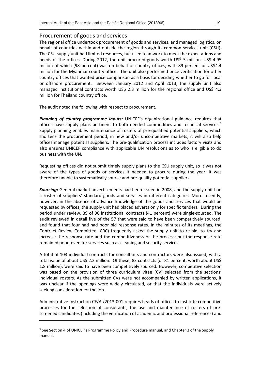#### Procurement of goods and services

The regional office undertook procurement of goods and services, and managed logistics, on behalf of countries within and outside the region through its common services unit (CSU). The CSU supply unit had limited resources, but used teamwork to meet the expectations and needs of the offices. During 2012, the unit procured goods worth US\$ 5 million, US\$ 4.95 million of which (98 percent) was on behalf of country offices, with 89 percent or US\$4.4 million for the Myanmar country office. The unit also performed price verification for other country offices that wanted price comparison as a basis for deciding whether to go for local or offshore procurement. Between January 2012 and April 2013, the supply unit also managed institutional contracts worth US\$ 2.3 million for the regional office and US\$ 4.3 million for Thailand country office.

\_\_\_\_\_\_\_\_\_\_\_\_\_\_\_\_\_\_\_\_\_\_\_\_\_\_\_\_\_\_\_\_\_\_\_\_\_\_\_\_\_\_\_\_\_\_\_\_\_\_\_\_\_\_\_\_\_\_\_\_\_\_\_\_\_\_\_\_\_\_\_\_\_\_\_\_\_\_\_\_\_\_\_\_\_\_\_\_\_\_\_\_

The audit noted the following with respect to procurement.

*Planning of country programme inputs:* UNICEF's organizational guidance requires that offices have supply plans pertinent to both needed commodities and technical services.<sup>6</sup> Supply planning enables maintenance of rosters of pre-qualified potential suppliers, which shortens the procurement period; in new and/or uncompetitive markets, it will also help offices manage potential suppliers. The pre-qualification process includes factory visits and also ensures UNICEF compliance with applicable UN resolutions as to who is eligible to do business with the UN.

Requesting offices did not submit timely supply plans to the CSU supply unit, so it was not aware of the types of goods or services it needed to procure during the year. It was therefore unable to systematically source and pre-qualify potential suppliers.

*Sourcing:* General market advertisements had been issued in 2008, and the supply unit had a roster of suppliers' standard goods and services in different categories. More recently, however, in the absence of advance knowledge of the goods and services that would be requested by offices, the supply unit had placed adverts only for specific tenders. During the period under review, 39 of 96 institutional contracts (41 percent) were single-sourced. The audit reviewed in detail five of the 57 that were said to have been competitively sourced, and found that four had had poor bid response rates. In the minutes of its meetings, the Contract Review Committee (CRC) frequently asked the supply unit to re-bid, to try and increase the response rate and the competitiveness of the process; but the response rate remained poor, even for services such as cleaning and security services.

A total of 103 individual contracts for consultants and contractors were also issued, with a total value of about US\$ 2.2 million. Of these, 83 contracts (or 81 percent, worth about US\$ 1.8 million), were said to have been competitively sourced. However, competitive selection was based on the provision of three curriculum vitae (CV) selected from the sections' individual rosters. As the submitted CVs were not accompanied by written applications, it was unclear if the openings were widely circulated, or that the individuals were actively seeking consideration for the job.

Administrative Instruction CF/AI/2013-001 requires heads of offices to institute competitive processes for the selection of consultants, the use and maintenance of rosters of prescreened candidates (including the verification of academic and professional references) and

-

 $6$  See Section 4 of UNICEF's Programme Policy and Procedure manual, and Chapter 3 of the Supply manual.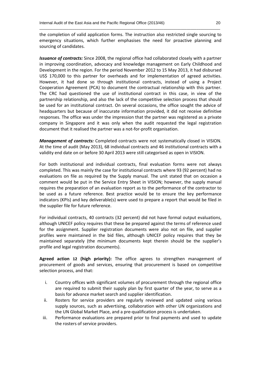the completion of valid application forms. The instruction also restricted single sourcing to emergency situations, which further emphasises the need for proactive planning and sourcing of candidates.

\_\_\_\_\_\_\_\_\_\_\_\_\_\_\_\_\_\_\_\_\_\_\_\_\_\_\_\_\_\_\_\_\_\_\_\_\_\_\_\_\_\_\_\_\_\_\_\_\_\_\_\_\_\_\_\_\_\_\_\_\_\_\_\_\_\_\_\_\_\_\_\_\_\_\_\_\_\_\_\_\_\_\_\_\_\_\_\_\_\_\_\_

*Issuance of contracts:* Since 2008, the regional office had collaborated closely with a partner in improving coordination, advocacy and knowledge management on Early Childhood and Development in the region. For the period November 2012 to 15 May 2013, it had disbursed US\$ 170,000 to this partner for overheads and for implementation of agreed activities. However, it had done so through institutional contracts, instead of using a Project Cooperation Agreement (PCA) to document the contractual relationship with this partner. The CRC had questioned the use of institutional contract in this case, in view of the partnership relationship, and also the lack of the competitive selection process that should be used for an institutional contract. On several occasions, the office sought the advice of headquarters but because of inaccurate information provided, it did not receive definitive responses. The office was under the impression that the partner was registered as a private company in Singapore and it was only when the audit requested the legal registration document that it realised the partner was a not-for-profit organisation.

*Management of contracts:* Completed contracts were not systematically closed in VISION. At the time of audit (May 2013), 68 individual contracts and 46 institutional contracts with a validity end date on or before 30 April 2013 were still categorised as open in VISION.

For both institutional and individual contracts, final evaluation forms were not always completed. This was mainly the case for institutional contracts where 93 (92 percent) had no evaluations on file as required by the Supply manual. The unit stated that on occasion a comment would be put in the Service Entry Sheet in VISION; however, the supply manual requires the preparation of an evaluation report as to the performance of the contractor to be used as a future reference. Best practice would be to ensure the key performance indicators (KPIs) and key deliverable(s) were used to prepare a report that would be filed in the supplier file for future reference.

For individual contracts, 40 contracts (32 percent) did not have formal output evaluations, although UNICEF policy requires that these be prepared against the terms of reference used for the assignment. Supplier registration documents were also not on file, and supplier profiles were maintained in the bid files, although UNICEF policy requires that they be maintained separately (the minimum documents kept therein should be the supplier's profile and legal registration documents).

**Agreed action 12 (high priority):** The office agrees to strengthen management of procurement of goods and services, ensuring that procurement is based on competitive selection process, and that:

- i. Country offices with significant volumes of procurement through the regional office are required to submit their supply plan by first quarter of the year, to serve as a basis for advance market search and supplier identification.
- ii. Rosters for service providers are regularly reviewed and updated using various supply sources, such as advertising, collaboration with other UN organizations and the UN Global Market Place, and a pre-qualification process is undertaken.
- iii. Performance evaluations are prepared prior to final payments and used to update the rosters of service providers.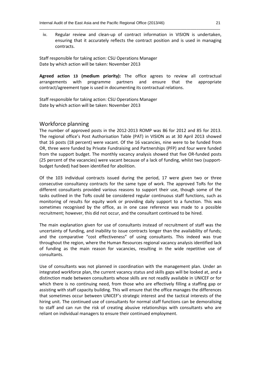iv. Regular review and clean-up of contract information in VISION is undertaken, ensuring that it accurately reflects the contract position and is used in managing contracts.

\_\_\_\_\_\_\_\_\_\_\_\_\_\_\_\_\_\_\_\_\_\_\_\_\_\_\_\_\_\_\_\_\_\_\_\_\_\_\_\_\_\_\_\_\_\_\_\_\_\_\_\_\_\_\_\_\_\_\_\_\_\_\_\_\_\_\_\_\_\_\_\_\_\_\_\_\_\_\_\_\_\_\_\_\_\_\_\_\_\_\_\_

Staff responsible for taking action: CSU Operations Manager Date by which action will be taken: November 2013

**Agreed action 13 (medium priority):** The office agrees to review all contractual arrangements with programme partners and ensure that the appropriate contract/agreement type is used in documenting its contractual relations.

Staff responsible for taking action: CSU Operations Manager Date by which action will be taken: November 2013

#### Workforce planning

The number of approved posts in the 2012-2013 ROMP was 86 for 2012 and 85 for 2013. The regional office's Post Authorisation Table (PAT) in VISION as at 30 April 2013 showed that 16 posts (18 percent) were vacant. Of the 16 vacancies, nine were to be funded from OR, three were funded by Private Fundraising and Partnerships (PFP) and four were funded from the support budget. The monthly vacancy analysis showed that five OR-funded posts (25 percent of the vacancies) were vacant because of a lack of funding, whilst two (supportbudget funded) had been identified for abolition.

Of the 103 individual contracts issued during the period, 17 were given two or three consecutive consultancy contracts for the same type of work. The approved ToRs for the different consultants provided various reasons to support their use, though some of the tasks outlined in the ToRs could be considered regular continuous staff functions, such as monitoring of results for equity work or providing daily support to a function. This was sometimes recognised by the office, as in one case reference was made to a possible recruitment; however, this did not occur, and the consultant continued to be hired.

The main explanation given for use of consultants instead of recruitment of staff was the uncertainty of funding, and inability to issue contracts longer than the availability of funds; and the comparative "cost effectiveness" of using consultants. This indeed was true throughout the region, where the Human Resources regional vacancy analysis identified lack of funding as the main reason for vacancies, resulting in the wide repetitive use of consultants.

Use of consultants was not planned in coordination with the management plan. Under an integrated workforce plan, the current vacancy status and skills gaps will be looked at, and a distinction made between consultants whose skills are not readily available in UNICEF or for which there is no continuing need, from those who are effectively filling a staffing gap or assisting with staff capacity building. This will ensure that the office manages the differences that sometimes occur between UNICEF's strategic interest and the tactical interests of the hiring unit. The continued use of consultants for normal staff functions can be demoralising to staff and can run the risk of creating abusive relationships with consultants who are reliant on individual managers to ensure their continued employment.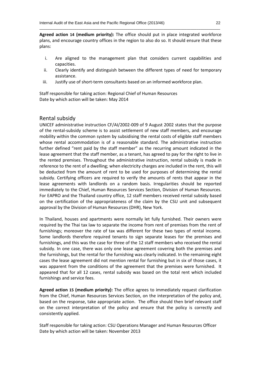**Agreed action 14 (medium priority):** The office should put in place integrated workforce plans, and encourage country offices in the region to also do so. It should ensure that these plans:

\_\_\_\_\_\_\_\_\_\_\_\_\_\_\_\_\_\_\_\_\_\_\_\_\_\_\_\_\_\_\_\_\_\_\_\_\_\_\_\_\_\_\_\_\_\_\_\_\_\_\_\_\_\_\_\_\_\_\_\_\_\_\_\_\_\_\_\_\_\_\_\_\_\_\_\_\_\_\_\_\_\_\_\_\_\_\_\_\_\_\_\_

- i. Are aligned to the management plan that considers current capabilities and capacities.
- ii. Clearly identify and distinguish between the different types of need for temporary assistance.
- iii. Justify use of short-term consultants based on an informed workforce plan.

Staff responsible for taking action: Regional Chief of Human Resources Date by which action will be taken: May 2014

#### Rental subsidy

UNICEF administrative instruction CF/AI/2002-009 of 9 August 2002 states that the purpose of the rental-subsidy scheme is to assist settlement of new staff members, and encourage mobility within the common system by subsidising the rental costs of eligible staff members whose rental accommodation is of a reasonable standard. The administrative instruction further defined "rent paid by the staff member" as the recurring amount indicated in the lease agreement that the staff member, as a tenant, has agreed to pay for the right to live in the rented premises. Throughout the administrative instruction, rental subsidy is made in reference to the rent of a dwelling; when electricity charges are included in the rent, this will be deducted from the amount of rent to be used for purposes of determining the rental subsidy. Certifying officers are required to verify the amounts of rents that appear in the lease agreements with landlords on a random basis. Irregularities should be reported immediately to the Chief, Human Resources Services Section, Division of Human Resources. For EAPRO and the Thailand country office, 12 staff members received rental subsidy based on the certification of the appropriateness of the claim by the CSU unit and subsequent approval by the Division of Human Resources (DHR), New York.

In Thailand, houses and apartments were normally let fully furnished. Their owners were required by the Thai tax law to separate the income from rent of premises from the rent of furnishings; moreover the rate of tax was different for these two types of rental income. Some landlords therefore required tenants to sign separate leases for the premises and furnishings, and this was the case for three of the 12 staff members who received the rental subsidy. In one case, there was only one lease agreement covering both the premises and the furnishings, but the rental for the furnishing was clearly indicated. In the remaining eight cases the lease agreement did not mention rental for furnishing but in six of those cases, it was apparent from the conditions of the agreement that the premises were furnished. It appeared that for all 12 cases, rental subsidy was based on the total rent which included furnishings and service fees.

**Agreed action 15 (medium priority):** The office agrees to immediately request clarification from the Chief, Human Resources Services Section, on the interpretation of the policy and, based on the response, take appropriate action. The office should then brief relevant staff on the correct interpretation of the policy and ensure that the policy is correctly and consistently applied.

Staff responsible for taking action: CSU Operations Manager and Human Resources Officer Date by which action will be taken: November 2013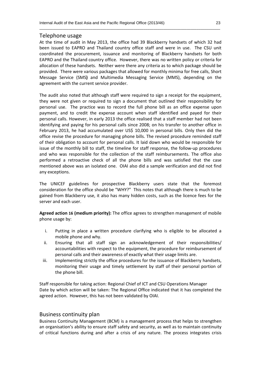#### Telephone usage

At the time of audit in May 2013, the office had 39 Blackberry handsets of which 32 had been issued to EAPRO and Thailand country office staff and were in use. The CSU unit coordinated the procurement, issuance and monitoring of Blackberry handsets for both EAPRO and the Thailand country office. However, there was no written policy or criteria for allocation of these handsets. Neither were there any criteria as to which package should be provided. There were various packages that allowed for monthly minima for free calls, Short Message Service (SMS**)** and Multimedia Messaging Service (MMS), depending on the agreement with the current service provider.

\_\_\_\_\_\_\_\_\_\_\_\_\_\_\_\_\_\_\_\_\_\_\_\_\_\_\_\_\_\_\_\_\_\_\_\_\_\_\_\_\_\_\_\_\_\_\_\_\_\_\_\_\_\_\_\_\_\_\_\_\_\_\_\_\_\_\_\_\_\_\_\_\_\_\_\_\_\_\_\_\_\_\_\_\_\_\_\_\_\_\_\_

The audit also noted that although staff were required to sign a receipt for the equipment, they were not given or required to sign a document that outlined their responsibility for personal use. The practice was to record the full phone bill as an office expense upon payment, and to credit the expense account when staff identified and payed for their personal calls. However, in early 2013 the office realised that a staff member had not been identifying and paying for his personal calls since 2008; on his transfer to another office in February 2013, he had accumulated over US\$ 10,000 in personal bills. Only then did the office revise the procedure for managing phone bills. The revised procedure reminded staff of their obligation to account for personal calls. It laid down who would be responsible for issue of the monthly bill to staff, the timeline for staff response, the follow-up procedures and who was responsible for the collection of the staff reimbursements. The office also performed a retroactive check of all the phone bills and was satisfied that the case mentioned above was an isolated one. OIAI also did a sample verification and did not find any exceptions.

The UNICEF guidelines for prospective Blackberry users state that the foremost consideration for the office should be "WHY?" This notes that although there is much to be gained from Blackberry use, it also has many hidden costs, such as the licence fees for the server and each user.

**Agreed action 16 (medium priority):** The office agrees to strengthen management of mobile phone usage by:

- i. Putting in place a written procedure clarifying who is eligible to be allocated a mobile phone and why.
- ii. Ensuring that all staff sign an acknowledgement of their responsibilities/ accountabilities with respect to the equipment, the procedure for reimbursement of personal calls and their awareness of exactly what their usage limits are.
- iii. Implementing strictly the office procedures for the issuance of Blackberry handsets, monitoring their usage and timely settlement by staff of their personal portion of the phone bill.

Staff responsible for taking action: Regional Chief of ICT and CSU Operations Manager Date by which action will be taken: The Regional Office indicated that it has completed the agreed action. However, this has not been validated by OIAI.

#### Business continuity plan

Business Continuity Management (BCM) is a management process that helps to strengthen an organisation's ability to ensure staff safety and security, as well as to maintain continuity of critical functions during and after a crisis of any nature. The process integrates crisis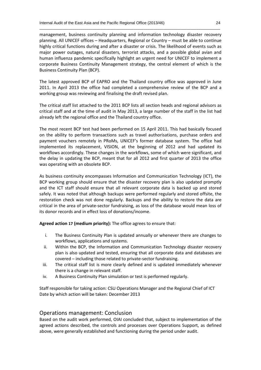management, business continuity planning and information technology disaster recovery planning. All UNICEF offices – Headquarters, Regional or Country – must be able to continue highly critical functions during and after a disaster or crisis. The likelihood of events such as major power outages, natural disasters, terrorist attacks, and a possible global avian and human influenza pandemic specifically highlight an urgent need for UNICEF to implement a corporate Business Continuity Management strategy, the central element of which is the Business Continuity Plan (BCP).

\_\_\_\_\_\_\_\_\_\_\_\_\_\_\_\_\_\_\_\_\_\_\_\_\_\_\_\_\_\_\_\_\_\_\_\_\_\_\_\_\_\_\_\_\_\_\_\_\_\_\_\_\_\_\_\_\_\_\_\_\_\_\_\_\_\_\_\_\_\_\_\_\_\_\_\_\_\_\_\_\_\_\_\_\_\_\_\_\_\_\_\_

The latest approved BCP of EAPRO and the Thailand country office was approved in June 2011. In April 2013 the office had completed a comprehensive review of the BCP and a working group was reviewing and finalising the draft revised plan.

The critical staff list attached to the 2011 BCP lists all section heads and regional advisors as critical staff and at the time of audit in May 2013, a large number of the staff in the list had already left the regional office and the Thailand country office.

The most recent BCP test had been performed on 15 April 2011. This had basically focused on the ability to perform transactions such as travel authorisations, purchase orders and payment vouchers remotely in PRoMs, UNICEF's former database system. The office had implemented its replacement, VISION, at the beginning of 2012 and had updated its workflows accordingly. These changes in the workflows, some of which were significant, and the delay in updating the BCP, meant that for all 2012 and first quarter of 2013 the office was operating with an obsolete BCP.

As business continuity encompasses Information and Communication Technology (ICT), the BCP working group should ensure that the disaster recovery plan is also updated promptly and the ICT staff should ensure that all relevant corporate data is backed up and stored safely. It was noted that although backups were performed regularly and stored offsite, the restoration check was not done regularly. Backups and the ability to restore the data are critical in the area of private-sector fundraising, as loss of the database would mean loss of its donor records and in effect loss of donations/income.

**Agreed action 17 (medium priority):** The office agrees to ensure that:

- i. The Business Continuity Plan is updated annually or whenever there are changes to workflows, applications and systems.
- ii. Within the BCP, the Information and Communication Technology disaster recovery plan is also updated and tested, ensuring that all corporate data and databases are covered – including those related to private-sector fundraising.
- iii. The critical staff list is more clearly defined and is updated immediately whenever there is a change in relevant staff.
- iv. A Business Continuity Plan simulation or test is performed regularly.

Staff responsible for taking action: CSU Operations Manager and the Regional Chief of ICT Date by which action will be taken: December 2013

#### Operations management: Conclusion

Based on the audit work performed, OIAI concluded that, subject to implementation of the agreed actions described, the controls and processes over Operations Support, as defined above, were generally established and functioning during the period under audit.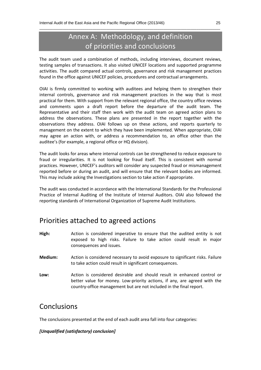# Annex A: Methodology, and definition of priorities and conclusions

\_\_\_\_\_\_\_\_\_\_\_\_\_\_\_\_\_\_\_\_\_\_\_\_\_\_\_\_\_\_\_\_\_\_\_\_\_\_\_\_\_\_\_\_\_\_\_\_\_\_\_\_\_\_\_\_\_\_\_\_\_\_\_\_\_\_\_\_\_\_\_\_\_\_\_\_\_\_\_\_\_\_\_\_\_\_\_\_\_\_\_\_

The audit team used a combination of methods, including interviews, document reviews, testing samples of transactions. It also visited UNICEF locations and supported programme activities. The audit compared actual controls, governance and risk management practices found in the office against UNICEF policies, procedures and contractual arrangements.

OIAI is firmly committed to working with auditees and helping them to strengthen their internal controls, governance and risk management practices in the way that is most practical for them. With support from the relevant regional office, the country office reviews and comments upon a draft report before the departure of the audit team. The Representative and their staff then work with the audit team on agreed action plans to address the observations. These plans are presented in the report together with the observations they address. OIAI follows up on these actions, and reports quarterly to management on the extent to which they have been implemented. When appropriate, OIAI may agree an action with, or address a recommendation to, an office other than the auditee's (for example, a regional office or HQ division).

The audit looks for areas where internal controls can be strengthened to reduce exposure to fraud or irregularities. It is not looking for fraud itself. This is consistent with normal practices. However, UNICEF's auditors will consider any suspected fraud or mismanagement reported before or during an audit, and will ensure that the relevant bodies are informed. This may include asking the Investigations section to take action if appropriate.

The audit was conducted in accordance with the International Standards for the Professional Practice of Internal Auditing of the Institute of Internal Auditors. OIAI also followed the reporting standards of International Organization of Supreme Audit Institutions.

## Priorities attached to agreed actions

- **High:** Action is considered imperative to ensure that the audited entity is not exposed to high risks. Failure to take action could result in major consequences and issues.
- **Medium:** Action is considered necessary to avoid exposure to significant risks. Failure to take action could result in significant consequences.
- **Low:** Action is considered desirable and should result in enhanced control or better value for money. Low-priority actions, if any, are agreed with the country-office management but are not included in the final report.

### Conclusions

The conclusions presented at the end of each audit area fall into four categories:

#### *[Unqualified (satisfactory) conclusion]*